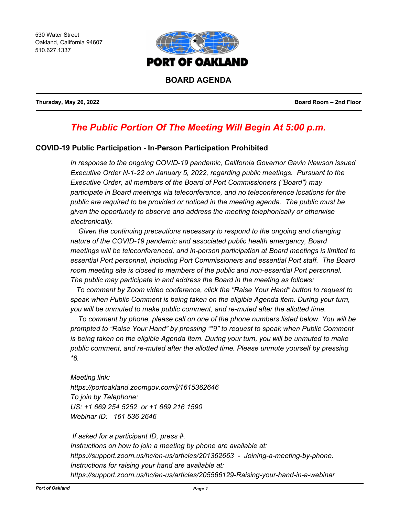530 Water Street Oakland, California 94607 510.627.1337



**Thursday, May 26, 2022 Board Room – 2nd Floor**

# *The Public Portion Of The Meeting Will Begin At 5:00 p.m.*

# **COVID-19 Public Participation - In-Person Participation Prohibited**

*In response to the ongoing COVID-19 pandemic, California Governor Gavin Newson issued Executive Order N-1-22 on January 5, 2022, regarding public meetings. Pursuant to the Executive Order, all members of the Board of Port Commissioners ("Board") may participate in Board meetings via teleconference, and no teleconference locations for the public are required to be provided or noticed in the meeting agenda. The public must be given the opportunity to observe and address the meeting telephonically or otherwise electronically.* 

 *Given the continuing precautions necessary to respond to the ongoing and changing nature of the COVID-19 pandemic and associated public health emergency, Board meetings will be teleconferenced, and in-person participation at Board meetings is limited to essential Port personnel, including Port Commissioners and essential Port staff. The Board room meeting site is closed to members of the public and non-essential Port personnel. The public may participate in and address the Board in the meeting as follows:*

 *To comment by Zoom video conference, click the "Raise Your Hand" button to request to speak when Public Comment is being taken on the eligible Agenda item. During your turn, you will be unmuted to make public comment, and re-muted after the allotted time.*

 *To comment by phone, please call on one of the phone numbers listed below. You will be prompted to "Raise Your Hand" by pressing "\*9" to request to speak when Public Comment is being taken on the eligible Agenda Item. During your turn, you will be unmuted to make public comment, and re-muted after the allotted time. Please unmute yourself by pressing \*6.*

*Meeting link: https://portoakland.zoomgov.com/j/1615362646 To join by Telephone: US: +1 669 254 5252 or +1 669 216 1590 Webinar ID: 161 536 2646* 

 *If asked for a participant ID, press #. Instructions on how to join a meeting by phone are available at: https://support.zoom.us/hc/en-us/articles/201362663 - Joining-a-meeting-by-phone. Instructions for raising your hand are available at: https://support.zoom.us/hc/en-us/articles/205566129-Raising-your-hand-in-a-webinar*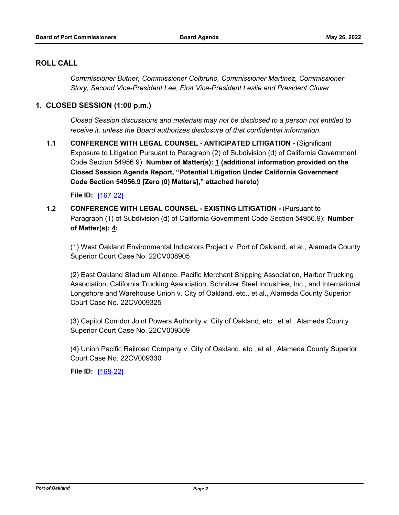# **ROLL CALL**

*Commissioner Butner, Commissioner Colbruno, Commissioner Martinez, Commissioner Story, Second Vice-President Lee, First Vice-President Leslie and President Cluver.*

# **1. CLOSED SESSION (1:00 p.m.)**

*Closed Session discussions and materials may not be disclosed to a person not entitled to receive it, unless the Board authorizes disclosure of that confidential information.*

**1.1 CONFERENCE WITH LEGAL COUNSEL - ANTICIPATED LITIGATION -** (Significant Exposure to Litigation Pursuant to Paragraph (2) of Subdivision (d) of California Government Code Section 54956.9): **Number of Matter(s): 1 (additional information provided on the Closed Session Agenda Report, "Potential Litigation Under California Government Code Section 54956.9 [Zero (0) Matters]," attached hereto)**

**File ID:** [\[167-22\]](http://portofoakland.legistar.com/gateway.aspx?m=l&id=/matter.aspx?key=4529)

# **1.2 CONFERENCE WITH LEGAL COUNSEL - EXISTING LITIGATION -** (Pursuant to Paragraph (1) of Subdivision (d) of California Government Code Section 54956.9): **Number of Matter(s): 4:**

(1) West Oakland Environmental Indicators Project v. Port of Oakland, et al., Alameda County Superior Court Case No. 22CV008905

(2) East Oakland Stadium Alliance, Pacific Merchant Shipping Association, Harbor Trucking Association, California Trucking Association, Schnitzer Steel Industries, Inc., and International Longshore and Warehouse Union v. City of Oakland, etc., et al., Alameda County Superior Court Case No. 22CV009325

(3) Capitol Corridor Joint Powers Authority v. City of Oakland, etc., et al., Alameda County Superior Court Case No. 22CV009309

(4) Union Pacific Railroad Company v. City of Oakland, etc., et al., Alameda County Superior Court Case No. 22CV009330

**File ID:** [\[168-22\]](http://portofoakland.legistar.com/gateway.aspx?m=l&id=/matter.aspx?key=4530)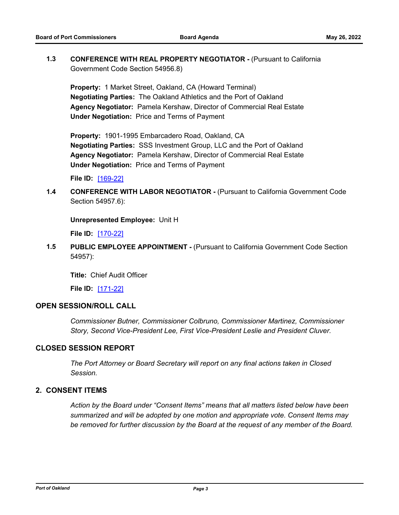# **1.3 CONFERENCE WITH REAL PROPERTY NEGOTIATOR -** (Pursuant to California Government Code Section 54956.8)

**Property:** 1 Market Street, Oakland, CA (Howard Terminal) **Negotiating Parties:** The Oakland Athletics and the Port of Oakland **Agency Negotiator:** Pamela Kershaw, Director of Commercial Real Estate **Under Negotiation:** Price and Terms of Payment

**Property:** 1901-1995 Embarcadero Road, Oakland, CA **Negotiating Parties:** SSS Investment Group, LLC and the Port of Oakland **Agency Negotiator:** Pamela Kershaw, Director of Commercial Real Estate **Under Negotiation:** Price and Terms of Payment

**File ID:** [\[169-22\]](http://portofoakland.legistar.com/gateway.aspx?m=l&id=/matter.aspx?key=4531)

**1.4 CONFERENCE WITH LABOR NEGOTIATOR -** (Pursuant to California Government Code Section 54957.6):

**Unrepresented Employee:** Unit H

**File ID:** [\[170-22\]](http://portofoakland.legistar.com/gateway.aspx?m=l&id=/matter.aspx?key=4532)

**1.5 PUBLIC EMPLOYEE APPOINTMENT -** (Pursuant to California Government Code Section 54957):

**Title:** Chief Audit Officer

**File ID:** [\[171-22\]](http://portofoakland.legistar.com/gateway.aspx?m=l&id=/matter.aspx?key=4533)

#### **OPEN SESSION/ROLL CALL**

*Commissioner Butner, Commissioner Colbruno, Commissioner Martinez, Commissioner Story, Second Vice-President Lee, First Vice-President Leslie and President Cluver.*

# **CLOSED SESSION REPORT**

*The Port Attorney or Board Secretary will report on any final actions taken in Closed Session.*

# **2. CONSENT ITEMS**

*Action by the Board under "Consent Items" means that all matters listed below have been summarized and will be adopted by one motion and appropriate vote. Consent Items may be removed for further discussion by the Board at the request of any member of the Board.*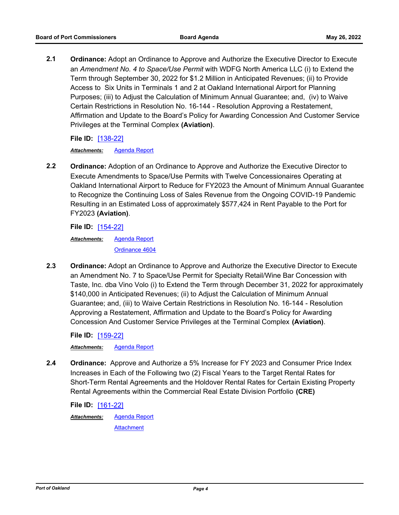**2.1 Ordinance:** Adopt an Ordinance to Approve and Authorize the Executive Director to Execute an *Amendment No. 4 to Space/Use Permit* with WDFG North America LLC (i) to Extend the Term through September 30, 2022 for \$1.2 Million in Anticipated Revenues; (ii) to Provide Access to Six Units in Terminals 1 and 2 at Oakland International Airport for Planning Purposes; (iii) to Adjust the Calculation of Minimum Annual Guarantee; and, (iv) to Waive Certain Restrictions in Resolution No. 16-144 - Resolution Approving a Restatement, Affirmation and Update to the Board's Policy for Awarding Concession And Customer Service Privileges at the Terminal Complex **(Aviation)**.

**File ID:** [\[138-22\]](http://portofoakland.legistar.com/gateway.aspx?m=l&id=/matter.aspx?key=4500)

*Attachments:* [Agenda Report](http://portofoakland.legistar.com/gateway.aspx?M=F&ID=1f97cda9-81e5-4691-9e61-a436dfa8cd01.docx)

**2.2 Ordinance:** Adoption of an Ordinance to Approve and Authorize the Executive Director to Execute Amendments to Space/Use Permits with Twelve Concessionaires Operating at Oakland International Airport to Reduce for FY2023 the Amount of Minimum Annual Guarantee to Recognize the Continuing Loss of Sales Revenue from the Ongoing COVID-19 Pandemic Resulting in an Estimated Loss of approximately \$577,424 in Rent Payable to the Port for FY2023 **(Aviation)**.

**File ID:** [\[154-22\]](http://portofoakland.legistar.com/gateway.aspx?m=l&id=/matter.aspx?key=4516)

[Agenda Report](http://portofoakland.legistar.com/gateway.aspx?M=F&ID=6541d469-d4f5-4d65-af42-7af4f75b66fd.docx) [Ordinance 4604](http://portofoakland.legistar.com/gateway.aspx?M=F&ID=17f16d6f-4ed7-4ba3-b7e1-450357094d3b.pdf) *Attachments:*

**2.3 Ordinance:** Adopt an Ordinance to Approve and Authorize the Executive Director to Execute an Amendment No. 7 to Space/Use Permit for Specialty Retail/Wine Bar Concession with Taste, Inc. dba Vino Volo (i) to Extend the Term through December 31, 2022 for approximately \$140,000 in Anticipated Revenues; (ii) to Adjust the Calculation of Minimum Annual Guarantee; and, (iii) to Waive Certain Restrictions in Resolution No. 16-144 - Resolution Approving a Restatement, Affirmation and Update to the Board's Policy for Awarding Concession And Customer Service Privileges at the Terminal Complex **(Aviation)**.

**File ID:** [\[159-22\]](http://portofoakland.legistar.com/gateway.aspx?m=l&id=/matter.aspx?key=4521)

*Attachments:* [Agenda Report](http://portofoakland.legistar.com/gateway.aspx?M=F&ID=09dd10f0-cbed-4a12-bda8-aec945c83eb0.docx)

**2.4 Ordinance:** Approve and Authorize a 5% Increase for FY 2023 and Consumer Price Index Increases in Each of the Following two (2) Fiscal Years to the Target Rental Rates for Short-Term Rental Agreements and the Holdover Rental Rates for Certain Existing Property Rental Agreements within the Commercial Real Estate Division Portfolio **(CRE)**

**File ID:** [\[161-22\]](http://portofoakland.legistar.com/gateway.aspx?m=l&id=/matter.aspx?key=4523) [Agenda Report](http://portofoakland.legistar.com/gateway.aspx?M=F&ID=f7c7b6dd-99c9-4a69-945b-c93d260a1bb4.docx) **[Attachment](http://portofoakland.legistar.com/gateway.aspx?M=F&ID=074239f2-6ac8-43aa-bc78-2dc9c3a217ad.pdf)** *Attachments:*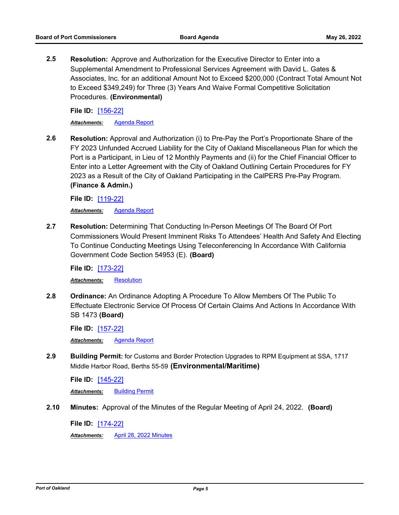**2.5 Resolution:** Approve and Authorization for the Executive Director to Enter into a Supplemental Amendment to Professional Services Agreement with David L. Gates & Associates, Inc. for an additional Amount Not to Exceed \$200,000 (Contract Total Amount Not to Exceed \$349,249) for Three (3) Years And Waive Formal Competitive Solicitation Procedures. **(Environmental)**

**File ID:** [\[156-22\]](http://portofoakland.legistar.com/gateway.aspx?m=l&id=/matter.aspx?key=4518)

*Attachments:* [Agenda Report](http://portofoakland.legistar.com/gateway.aspx?M=F&ID=0c4b4c8d-a670-40d6-a8eb-3b9c65b2485c.docx)

**2.6 Resolution:** Approval and Authorization (i) to Pre-Pay the Port's Proportionate Share of the FY 2023 Unfunded Accrued Liability for the City of Oakland Miscellaneous Plan for which the Port is a Participant, in Lieu of 12 Monthly Payments and (ii) for the Chief Financial Officer to Enter into a Letter Agreement with the City of Oakland Outlining Certain Procedures for FY 2023 as a Result of the City of Oakland Participating in the CalPERS Pre-Pay Program. **(Finance & Admin.)**

**File ID:** [\[119-22\]](http://portofoakland.legistar.com/gateway.aspx?m=l&id=/matter.aspx?key=4481)

*Attachments:* [Agenda Report](http://portofoakland.legistar.com/gateway.aspx?M=F&ID=ea3b3700-8af1-4667-8377-1b2f8440bffd.docx)

**2.7 Resolution:** Determining That Conducting In-Person Meetings Of The Board Of Port Commissioners Would Present Imminent Risks To Attendees' Health And Safety And Electing To Continue Conducting Meetings Using Teleconferencing In Accordance With California Government Code Section 54953 (E). **(Board)**

**File ID:** [\[173-22\]](http://portofoakland.legistar.com/gateway.aspx?m=l&id=/matter.aspx?key=4535) *Attachments:* [Resolution](http://portofoakland.legistar.com/gateway.aspx?M=F&ID=3c5b85ed-eb26-4895-9dfc-60ec3dec3153.pdf)

**2.8 Ordinance:** An Ordinance Adopting A Procedure To Allow Members Of The Public To Effectuate Electronic Service Of Process Of Certain Claims And Actions In Accordance With SB 1473 **(Board)**

**File ID:** [\[157-22\]](http://portofoakland.legistar.com/gateway.aspx?m=l&id=/matter.aspx?key=4519)

*Attachments:* [Agenda Report](http://portofoakland.legistar.com/gateway.aspx?M=F&ID=07f37bbe-33c7-46c7-b810-f2b3653ad852.docx)

**2.9 Building Permit:** for Customs and Border Protection Upgrades to RPM Equipment at SSA, 1717 Middle Harbor Road, Berths 55-59 **(Environmental/Maritime)**

**File ID:** [\[145-22\]](http://portofoakland.legistar.com/gateway.aspx?m=l&id=/matter.aspx?key=4507) *Attachments:* [Building Permit](http://portofoakland.legistar.com/gateway.aspx?M=F&ID=7f1898ad-6bee-4b52-9737-c196dba9cba0.pdf)

**2.10 Minutes:** Approval of the Minutes of the Regular Meeting of April 24, 2022. **(Board)**

**File ID:** [\[174-22\]](http://portofoakland.legistar.com/gateway.aspx?m=l&id=/matter.aspx?key=4536)

*Attachments:* [April 28, 2022 Minutes](http://portofoakland.legistar.com/gateway.aspx?M=F&ID=ffbf2055-7bd6-47a7-b900-24fb5752a0a2.pdf)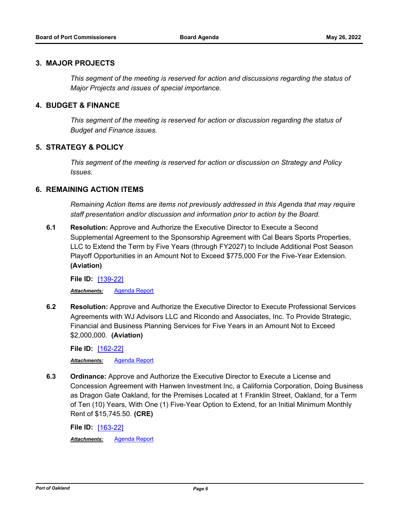#### **3. MAJOR PROJECTS**

*This segment of the meeting is reserved for action and discussions regarding the status of Major Projects and issues of special importance.*

# **4. BUDGET & FINANCE**

*This segment of the meeting is reserved for action or discussion regarding the status of Budget and Finance issues.*

# **5. STRATEGY & POLICY**

*This segment of the meeting is reserved for action or discussion on Strategy and Policy Issues.*

# **6. REMAINING ACTION ITEMS**

*Remaining Action Items are items not previously addressed in this Agenda that may require staff presentation and/or discussion and information prior to action by the Board.*

**6.1 Resolution:** Approve and Authorize the Executive Director to Execute a Second Supplemental Agreement to the Sponsorship Agreement with Cal Bears Sports Properties, LLC to Extend the Term by Five Years (through FY2027) to Include Additional Post Season Playoff Opportunities in an Amount Not to Exceed \$775,000 For the Five-Year Extension. **(Aviation)**

**File ID:** [\[139-22\]](http://portofoakland.legistar.com/gateway.aspx?m=l&id=/matter.aspx?key=4501) *Attachments:* [Agenda Report](http://portofoakland.legistar.com/gateway.aspx?M=F&ID=a2676ec3-fee2-44cb-b7d1-78dcecfe7e9a.docx)

**6.2 Resolution:** Approve and Authorize the Executive Director to Execute Professional Services Agreements with WJ Advisors LLC and Ricondo and Associates, Inc. To Provide Strategic, Financial and Business Planning Services for Five Years in an Amount Not to Exceed \$2,000,000. **(Aviation)**

**File ID:** [\[162-22\]](http://portofoakland.legistar.com/gateway.aspx?m=l&id=/matter.aspx?key=4524)

*Attachments:* [Agenda Report](http://portofoakland.legistar.com/gateway.aspx?M=F&ID=7bf47655-91da-4c9c-8bfb-76d6986b4517.docx)

**6.3 Ordinance:** Approve and Authorize the Executive Director to Execute a License and Concession Agreement with Hanwen Investment Inc, a California Corporation, Doing Business as Dragon Gate Oakland, for the Premises Located at 1 Franklin Street, Oakland, for a Term of Ten (10) Years, With One (1) Five-Year Option to Extend, for an Initial Minimum Monthly Rent of \$15,745.50. **(CRE)**

**File ID:** [\[163-22\]](http://portofoakland.legistar.com/gateway.aspx?m=l&id=/matter.aspx?key=4525)

*Attachments:* [Agenda Report](http://portofoakland.legistar.com/gateway.aspx?M=F&ID=30138ae2-5dc3-4114-a109-0b39c042d09c.docx)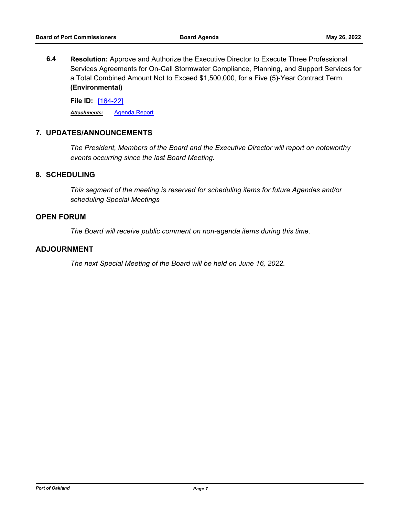**6.4 Resolution:** Approve and Authorize the Executive Director to Execute Three Professional Services Agreements for On-Call Stormwater Compliance, Planning, and Support Services for a Total Combined Amount Not to Exceed \$1,500,000, for a Five (5)-Year Contract Term. **(Environmental)**

**File ID:** [\[164-22\]](http://portofoakland.legistar.com/gateway.aspx?m=l&id=/matter.aspx?key=4526) *Attachments:* [Agenda Report](http://portofoakland.legistar.com/gateway.aspx?M=F&ID=adfb8100-5a0a-42fa-a3c8-f1a22ce46d08.docx)

# **7. UPDATES/ANNOUNCEMENTS**

*The President, Members of the Board and the Executive Director will report on noteworthy events occurring since the last Board Meeting.*

# **8. SCHEDULING**

*This segment of the meeting is reserved for scheduling items for future Agendas and/or scheduling Special Meetings*

#### **OPEN FORUM**

*The Board will receive public comment on non-agenda items during this time.*

#### **ADJOURNMENT**

*The next Special Meeting of the Board will be held on June 16, 2022.*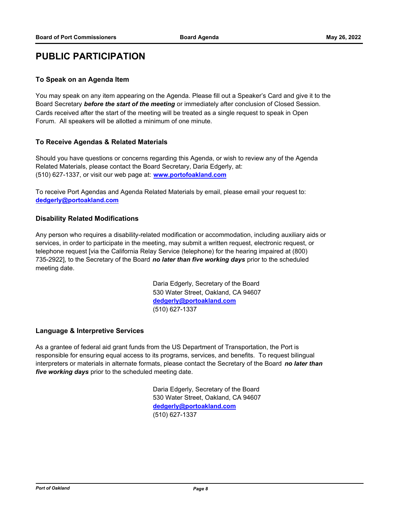# **PUBLIC PARTICIPATION**

#### **To Speak on an Agenda Item**

You may speak on any item appearing on the Agenda. Please fill out a Speaker's Card and give it to the Board Secretary *before the start of the meeting* or immediately after conclusion of Closed Session. Cards received after the start of the meeting will be treated as a single request to speak in Open Forum. All speakers will be allotted a minimum of one minute.

#### **To Receive Agendas & Related Materials**

Should you have questions or concerns regarding this Agenda, or wish to review any of the Agenda Related Materials, please contact the Board Secretary, Daria Edgerly, at: (510) 627-1337, or visit our web page at: **www.portofoakland.com**

To receive Port Agendas and Agenda Related Materials by email, please email your request to: **dedgerly@portoakland.com**

#### **Disability Related Modifications**

Any person who requires a disability-related modification or accommodation, including auxiliary aids or services, in order to participate in the meeting, may submit a written request, electronic request, or telephone request [via the California Relay Service (telephone) for the hearing impaired at (800) 735-2922], to the Secretary of the Board *no later than five working days* prior to the scheduled meeting date.

> Daria Edgerly, Secretary of the Board 530 Water Street, Oakland, CA 94607 **dedgerly@portoakland.com** (510) 627-1337

# **Language & Interpretive Services**

As a grantee of federal aid grant funds from the US Department of Transportation, the Port is responsible for ensuring equal access to its programs, services, and benefits. To request bilingual interpreters or materials in alternate formats, please contact the Secretary of the Board *no later than five working days* prior to the scheduled meeting date.

> Daria Edgerly, Secretary of the Board 530 Water Street, Oakland, CA 94607 **dedgerly@portoakland.com** (510) 627-1337